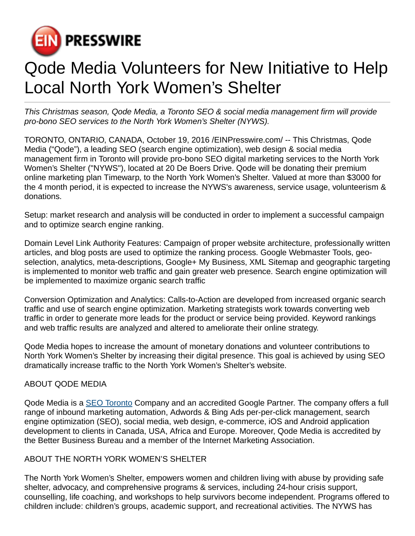

## Qode Media Volunteers for New Initiative to Help Local North York Women's Shelter

This Christmas season, Qode Media, a Toronto SEO & social media management firm will provide pro-bono SEO services to the North York Women's Shelter (NYWS).

TORONTO, ONTARIO, CANADA, October 19, 2016 [/EINPresswire.com](http://www.einpresswire.com)/ -- This Christmas, Qode Media ("Qode"), a leading SEO (search engine optimization), web design & social media management firm in Toronto will provide pro-bono SEO digital marketing services to the North York Women's Shelter ("NYWS"), located at 20 De Boers Drive. Qode will be donating their premium online marketing plan Timewarp, to the North York Women's Shelter. Valued at more than \$3000 for the 4 month period, it is expected to increase the NYWS's awareness, service usage, volunteerism & donations.

Setup: market research and analysis will be conducted in order to implement a successful campaign and to optimize search engine ranking.

Domain Level Link Authority Features: Campaign of proper website architecture, professionally written articles, and blog posts are used to optimize the ranking process. Google Webmaster Tools, geoselection, analytics, meta-descriptions, Google+ My Business, XML Sitemap and geographic targeting is implemented to monitor web traffic and gain greater web presence. Search engine optimization will be implemented to maximize organic search traffic

Conversion Optimization and Analytics: Calls-to-Action are developed from increased organic search traffic and use of search engine optimization. Marketing strategists work towards converting web traffic in order to generate more leads for the product or service being provided. Keyword rankings and web traffic results are analyzed and altered to ameliorate their online strategy.

Qode Media hopes to increase the amount of monetary donations and volunteer contributions to North York Women's Shelter by increasing their digital presence. This goal is achieved by using SEO dramatically increase traffic to the North York Women's Shelter's website.

## ABOUT QODE MEDIA

Qode Media is a [SEO Toronto](http://www.qodemedia.com) Company and an accredited Google Partner. The company offers a full range of inbound marketing automation, Adwords & Bing Ads per-per-click management, search engine optimization (SEO), social media, web design, e-commerce, iOS and Android application development to clients in Canada, USA, Africa and Europe. Moreover, Qode Media is accredited by the Better Business Bureau and a member of the Internet Marketing Association.

## ABOUT THE NORTH YORK WOMEN'S SHELTER

The North York Women's Shelter, empowers women and children living with abuse by providing safe shelter, advocacy, and comprehensive programs & services, including 24-hour crisis support, counselling, life coaching, and workshops to help survivors become independent. Programs offered to children include: children's groups, academic support, and recreational activities. The NYWS has